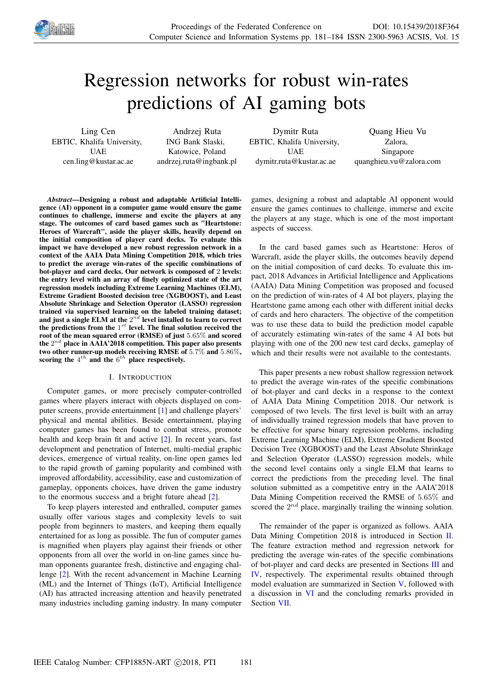

# Regression networks for robust win-rates predictions of AI gaming bots

Ling Cen EBTIC, Khalifa University, **IIAE** cen.ling@kustar.ac.ae

Andrzej Ruta ING Bank Slaski, Katowice, Poland andrzej.ruta@ingbank.pl

Dymitr Ruta EBTIC, Khalifa University, **IIAE** dymitr.ruta@kustar.ac.ae

Quang Hieu Vu Zalora, Singapore quanghieu.vu@zalora.com

*Abstract*—Designing a robust and adaptable Artificial Intelligence (AI) opponent in a computer game would ensure the game continues to challenge, immerse and excite the players at any stage. The outcomes of card based games such as "Heartstone: Heroes of Warcraft", aside the player skills, heavily depend on the initial composition of player card decks. To evaluate this impact we have developed a new robust regression network in a context of the AAIA Data Mining Competition 2018, which tries to predict the average win-rates of the specific combinations of bot-player and card decks. Our network is composed of 2 levels: the entry level with an array of finely optimized state of the art regression models including Extreme Learning Machines (ELM), Extreme Gradient Boosted decision tree (XGBOOST), and Least Absolute Shrinkage and Selection Operator (LASSO) regression trained via supervised learning on the labeled training dataset; and just a single ELM at the  $2^{\tilde{n}d}$  level installed to learn to correct the predictions from the  $1^{st}$  level. The final solution received the root of the mean squared error (RMSE) of just 5.65% and scored the  $2^{nd}$  place in AAIA'2018 competition. This paper also presents two other runner-up models receiving RMSE of 5.7% and 5.86%, scoring the  $4^{th}$  and the  $6^{th}$  place respectively.

### I. INTRODUCTION

Computer games, or more precisely computer-controlled games where players interact with objects displayed on computer screens, provide entertainment [1] and challenge players' physical and mental abilities. Beside entertainment, playing computer games has been found to combat stress, promote health and keep brain fit and active [2]. In recent years, fast development and penetration of Internet, multi-medial graphic devices, emergence of virtual reality, on-line open games led to the rapid growth of gaming popularity and combined with improved affordability, accessibility, ease and customization of gameplay, opponents choices, have driven the game industry to the enormous success and a bright future ahead [2].

To keep players interested and enthralled, computer games usually offer various stages and complexity levels to suit people from beginners to masters, and keeping them equally entertained for as long as possible. The fun of computer games is magnified when players play against their friends or other opponents from all over the world in on-line games since human opponents guarantee fresh, distinctive and engaging challenge [2]. With the recent advancement in Machine Learning (ML) and the Internet of Things (IoT), Artificial Intelligence (AI) has attracted increasing attention and heavily penetrated many industries including gaming industry. In many computer games, designing a robust and adaptable AI opponent would ensure the games continues to challenge, immerse and excite the players at any stage, which is one of the most important aspects of success.

In the card based games such as Heartstone: Heros of Warcraft, aside the player skills, the outcomes heavily depend on the initial composition of card decks. To evaluate this impact, 2018 Advances in Artificial Intelligence and Applications (AAIA) Data Mining Competition was proposed and focused on the prediction of win-rates of 4 AI bot players, playing the Heartstone game among each other with different initial decks of cards and hero characters. The objective of the competition was to use these data to build the prediction model capable of accurately estimating win-rates of the same 4 AI bots but playing with one of the 200 new test card decks, gameplay of which and their results were not available to the contestants.

This paper presents a new robust shallow regression network to predict the average win-rates of the specific combinations of bot-player and card decks in a response to the context of AAIA Data Mining Competition 2018. Our network is composed of two levels. The first level is built with an array of individually trained regression models that have proven to be effective for sparse binary regression problems, including Extreme Learning Machine (ELM), Extreme Gradient Boosted Decision Tree (XGBOOST) and the Least Absolute Shrinkage and Selection Operator (LASSO) regression models, while the second level contains only a single ELM that learns to correct the predictions from the preceding level. The final solution submitted as a competitive entry in the AAIA'2018 Data Mining Competition received the RMSE of 5.65% and scored the  $2^{nd}$  place, marginally trailing the winning solution.

The remainder of the paper is organized as follows. AAIA Data Mining Competition 2018 is introduced in Section II. The feature extraction method and regression network for predicting the average win-rates of the specific combinations of bot-player and card decks are presented in Sections III and IV, respectively. The experimental results obtained through model evaluation are summarized in Section V, followed with a discussion in VI and the concluding remarks provided in Section VII.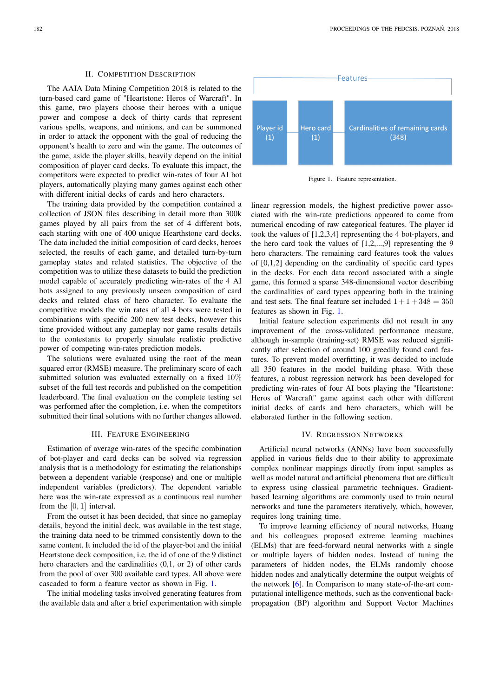# II. COMPETITION DESCRIPTION

The AAIA Data Mining Competition 2018 is related to the turn-based card game of "Heartstone: Heros of Warcraft". In this game, two players choose their heroes with a unique power and compose a deck of thirty cards that represent various spells, weapons, and minions, and can be summoned in order to attack the opponent with the goal of reducing the opponent's health to zero and win the game. The outcomes of the game, aside the player skills, heavily depend on the initial composition of player card decks. To evaluate this impact, the competitors were expected to predict win-rates of four AI bot players, automatically playing many games against each other with different initial decks of cards and hero characters.

The training data provided by the competition contained a collection of JSON files describing in detail more than 300k games played by all pairs from the set of 4 different bots, each starting with one of 400 unique Hearthstone card decks. The data included the initial composition of card decks, heroes selected, the results of each game, and detailed turn-by-turn gameplay states and related statistics. The objective of the competition was to utilize these datasets to build the prediction model capable of accurately predicting win-rates of the 4 AI bots assigned to any previously unseen composition of card decks and related class of hero character. To evaluate the competitive models the win rates of all 4 bots were tested in combinations with specific 200 new test decks, however this time provided without any gameplay nor game results details to the contestants to properly simulate realistic predictive power of competing win-rates prediction models.

The solutions were evaluated using the root of the mean squared error (RMSE) measure. The preliminary score of each submitted solution was evaluated externally on a fixed 10% subset of the full test records and published on the competition leaderboard. The final evaluation on the complete testing set was performed after the completion, i.e. when the competitors submitted their final solutions with no further changes allowed.

### III. FEATURE ENGINEERING

Estimation of average win-rates of the specific combination of bot-player and card decks can be solved via regression analysis that is a methodology for estimating the relationships between a dependent variable (response) and one or multiple independent variables (predictors). The dependent variable here was the win-rate expressed as a continuous real number from the [0, 1] interval.

From the outset it has been decided, that since no gameplay details, beyond the initial deck, was available in the test stage, the training data need to be trimmed consistently down to the same content. It included the id of the player-bot and the initial Heartstone deck composition, i.e. the id of one of the 9 distinct hero characters and the cardinalities (0,1, or 2) of other cards from the pool of over 300 available card types. All above were cascaded to form a feature vector as shown in Fig. 1.

The initial modeling tasks involved generating features from the available data and after a brief experimentation with simple



Figure 1. Feature representation.

linear regression models, the highest predictive power associated with the win-rate predictions appeared to come from numerical encoding of raw categorical features. The player id took the values of [1,2,3,4] representing the 4 bot-players, and the hero card took the values of [1,2,...,9] representing the 9 hero characters. The remaining card features took the values of [0,1,2] depending on the cardinality of specific card types in the decks. For each data record associated with a single game, this formed a sparse 348-dimensional vector describing the cardinalities of card types appearing both in the training and test sets. The final feature set included  $1+1+348=350$ features as shown in Fig. 1.

Initial feature selection experiments did not result in any improvement of the cross-validated performance measure, although in-sample (training-set) RMSE was reduced significantly after selection of around 100 greedily found card features. To prevent model overfitting, it was decided to include all 350 features in the model building phase. With these features, a robust regression network has been developed for predicting win-rates of four AI bots playing the "Heartstone: Heros of Warcraft" game against each other with different initial decks of cards and hero characters, which will be elaborated further in the following section.

# IV. REGRESSION NETWORKS

Artificial neural networks (ANNs) have been successfully applied in various fields due to their ability to approximate complex nonlinear mappings directly from input samples as well as model natural and artificial phenomena that are difficult to express using classical parametric techniques. Gradientbased learning algorithms are commonly used to train neural networks and tune the parameters iteratively, which, however, requires long training time.

To improve learning efficiency of neural networks, Huang and his colleagues proposed extreme learning machines (ELMs) that are feed-forward neural networks with a single or multiple layers of hidden nodes. Instead of tuning the parameters of hidden nodes, the ELMs randomly choose hidden nodes and analytically determine the output weights of the network [6]. In Comparison to many state-of-the-art computational intelligence methods, such as the conventional backpropagation (BP) algorithm and Support Vector Machines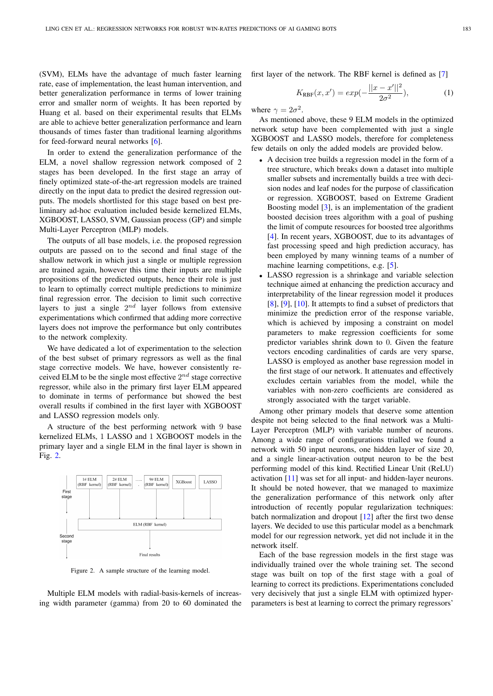(SVM), ELMs have the advantage of much faster learning rate, ease of implementation, the least human intervention, and better generalization performance in terms of lower training error and smaller norm of weights. It has been reported by Huang et al. based on their experimental results that ELMs are able to achieve better generalization performance and learn thousands of times faster than traditional learning algorithms for feed-forward neural networks [6].

In order to extend the generalization performance of the ELM, a novel shallow regression network composed of 2 stages has been developed. In the first stage an array of finely optimized state-of-the-art regression models are trained directly on the input data to predict the desired regression outputs. The models shortlisted for this stage based on best preliminary ad-hoc evaluation included beside kernelized ELMs, XGBOOST, LASSO, SVM, Gaussian process (GP) and simple Multi-Layer Perceptron (MLP) models.

The outputs of all base models, i.e. the proposed regression outputs are passed on to the second and final stage of the shallow network in which just a single or multiple regression are trained again, however this time their inputs are multiple propositions of the predicted outputs, hence their role is just to learn to optimally correct multiple predictions to minimize final regression error. The decision to limit such corrective layers to just a single  $2^{nd}$  layer follows from extensive experimentations which confirmed that adding more corrective layers does not improve the performance but only contributes to the network complexity.

We have dedicated a lot of experimentation to the selection of the best subset of primary regressors as well as the final stage corrective models. We have, however consistently received ELM to be the single most effective  $2^{nd}$  stage corrective regressor, while also in the primary first layer ELM appeared to dominate in terms of performance but showed the best overall results if combined in the first layer with XGBOOST and LASSO regression models only.

A structure of the best performing network with 9 base kernelized ELMs, 1 LASSO and 1 XGBOOST models in the primary layer and a single ELM in the final layer is shown in Fig. 2.



Figure 2. A sample structure of the learning model.

Multiple ELM models with radial-basis-kernels of increasing width parameter (gamma) from 20 to 60 dominated the first layer of the network. The RBF kernel is defined as [7]

$$
K_{\text{RBF}}(x, x') = exp(-\frac{||x - x'||^2}{2\sigma^2}), \tag{1}
$$

where  $\gamma = 2\sigma^2$ .

As mentioned above, these 9 ELM models in the optimized network setup have been complemented with just a single XGBOOST and LASSO models, therefore for completeness few details on only the added models are provided below.

- A decision tree builds a regression model in the form of a tree structure, which breaks down a dataset into multiple smaller subsets and incrementally builds a tree with decision nodes and leaf nodes for the purpose of classification or regression. XGBOOST, based on Extreme Gradient Boosting model [3], is an implementation of the gradient boosted decision trees algorithm with a goal of pushing the limit of compute resources for boosted tree algorithms [4]. In recent years, XGBOOST, due to its advantages of fast processing speed and high prediction accuracy, has been employed by many winning teams of a number of machine learning competitions, e.g. [5].
- LASSO regression is a shrinkage and variable selection technique aimed at enhancing the prediction accuracy and interpretability of the linear regression model it produces [8], [9], [10]. It attempts to find a subset of predictors that minimize the prediction error of the response variable, which is achieved by imposing a constraint on model parameters to make regression coefficients for some predictor variables shrink down to 0. Given the feature vectors encoding cardinalities of cards are very sparse, LASSO is employed as another base regression model in the first stage of our network. It attenuates and effectively excludes certain variables from the model, while the variables with non-zero coefficients are considered as strongly associated with the target variable.

Among other primary models that deserve some attention despite not being selected to the final network was a Multi-Layer Perceptron (MLP) with variable number of neurons. Among a wide range of configurations trialled we found a network with 50 input neurons, one hidden layer of size 20, and a single linear-activation output neuron to be the best performing model of this kind. Rectified Linear Unit (ReLU) activation [11] was set for all input- and hidden-layer neurons. It should be noted however, that we managed to maximize the generalization performance of this network only after introduction of recently popular regularization techniques: batch normalization and dropout  $[12]$  after the first two dense layers. We decided to use this particular model as a benchmark model for our regression network, yet did not include it in the network itself.

Each of the base regression models in the first stage was individually trained over the whole training set. The second stage was built on top of the first stage with a goal of learning to correct its predictions. Experimentations concluded very decisively that just a single ELM with optimized hyperparameters is best at learning to correct the primary regressors'